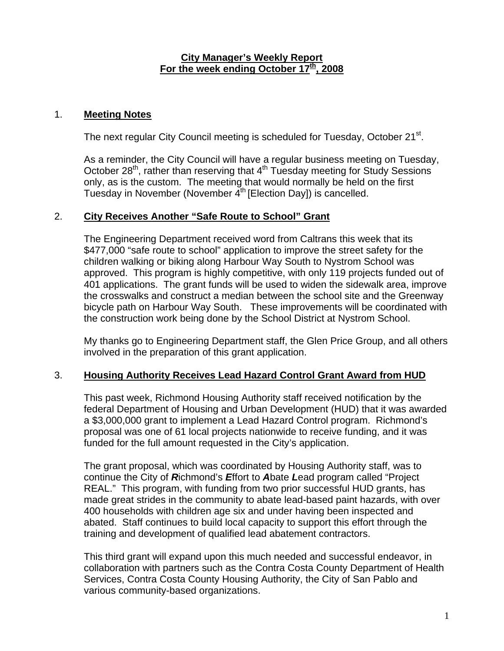#### **City Manager's Weekly Report** For the week ending October 17<sup>th</sup>, 2008

### 1. **Meeting Notes**

The next regular City Council meeting is scheduled for Tuesday, October 21<sup>st</sup>.

As a reminder, the City Council will have a regular business meeting on Tuesday, October 28th, rather than reserving that 4th Tuesday meeting for Study Sessions only, as is the custom. The meeting that would normally be held on the first Tuesday in November (November  $4<sup>th</sup>$  [Election Day]) is cancelled.

### 2. **City Receives Another "Safe Route to School" Grant**

The Engineering Department received word from Caltrans this week that its \$477,000 "safe route to school" application to improve the street safety for the children walking or biking along Harbour Way South to Nystrom School was approved. This program is highly competitive, with only 119 projects funded out of 401 applications. The grant funds will be used to widen the sidewalk area, improve the crosswalks and construct a median between the school site and the Greenway bicycle path on Harbour Way South. These improvements will be coordinated with the construction work being done by the School District at Nystrom School.

My thanks go to Engineering Department staff, the Glen Price Group, and all others involved in the preparation of this grant application.

## 3. **Housing Authority Receives Lead Hazard Control Grant Award from HUD**

This past week, Richmond Housing Authority staff received notification by the federal Department of Housing and Urban Development (HUD) that it was awarded a \$3,000,000 grant to implement a Lead Hazard Control program. Richmond's proposal was one of 61 local projects nationwide to receive funding, and it was funded for the full amount requested in the City's application.

The grant proposal, which was coordinated by Housing Authority staff, was to continue the City of *R*ichmond's *E*ffort to *A*bate *L*ead program called "Project REAL." This program, with funding from two prior successful HUD grants, has made great strides in the community to abate lead-based paint hazards, with over 400 households with children age six and under having been inspected and abated. Staff continues to build local capacity to support this effort through the training and development of qualified lead abatement contractors.

This third grant will expand upon this much needed and successful endeavor, in collaboration with partners such as the Contra Costa County Department of Health Services, Contra Costa County Housing Authority, the City of San Pablo and various community-based organizations.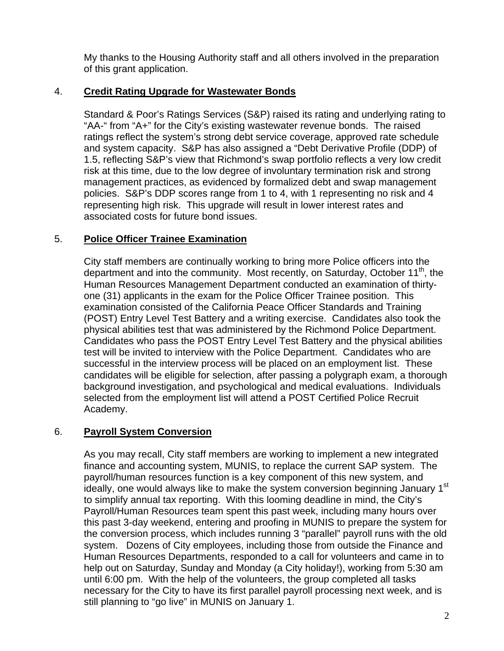My thanks to the Housing Authority staff and all others involved in the preparation of this grant application.

# 4. **Credit Rating Upgrade for Wastewater Bonds**

Standard & Poor's Ratings Services (S&P) raised its rating and underlying rating to "AA-" from "A+" for the City's existing wastewater revenue bonds. The raised ratings reflect the system's strong debt service coverage, approved rate schedule and system capacity. S&P has also assigned a "Debt Derivative Profile (DDP) of 1.5, reflecting S&P's view that Richmond's swap portfolio reflects a very low credit risk at this time, due to the low degree of involuntary termination risk and strong management practices, as evidenced by formalized debt and swap management policies. S&P's DDP scores range from 1 to 4, with 1 representing no risk and 4 representing high risk. This upgrade will result in lower interest rates and associated costs for future bond issues.

# 5. **Police Officer Trainee Examination**

City staff members are continually working to bring more Police officers into the department and into the community. Most recently, on Saturday, October 11<sup>th</sup>, the Human Resources Management Department conducted an examination of thirtyone (31) applicants in the exam for the Police Officer Trainee position. This examination consisted of the California Peace Officer Standards and Training (POST) Entry Level Test Battery and a writing exercise. Candidates also took the physical abilities test that was administered by the Richmond Police Department. Candidates who pass the POST Entry Level Test Battery and the physical abilities test will be invited to interview with the Police Department. Candidates who are successful in the interview process will be placed on an employment list. These candidates will be eligible for selection, after passing a polygraph exam, a thorough background investigation, and psychological and medical evaluations. Individuals selected from the employment list will attend a POST Certified Police Recruit Academy.

## 6. **Payroll System Conversion**

As you may recall, City staff members are working to implement a new integrated finance and accounting system, MUNIS, to replace the current SAP system. The payroll/human resources function is a key component of this new system, and ideally, one would always like to make the system conversion beginning January 1<sup>st</sup> to simplify annual tax reporting. With this looming deadline in mind, the City's Payroll/Human Resources team spent this past week, including many hours over this past 3-day weekend, entering and proofing in MUNIS to prepare the system for the conversion process, which includes running 3 "parallel" payroll runs with the old system. Dozens of City employees, including those from outside the Finance and Human Resources Departments, responded to a call for volunteers and came in to help out on Saturday, Sunday and Monday (a City holiday!), working from 5:30 am until 6:00 pm. With the help of the volunteers, the group completed all tasks necessary for the City to have its first parallel payroll processing next week, and is still planning to "go live" in MUNIS on January 1.